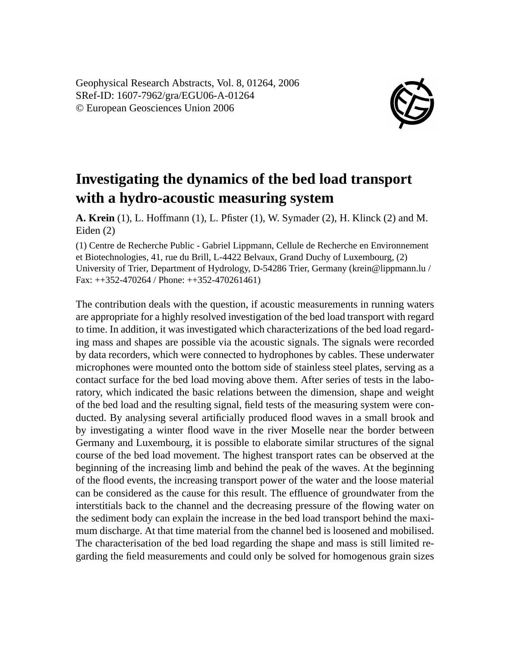Geophysical Research Abstracts, Vol. 8, 01264, 2006 SRef-ID: 1607-7962/gra/EGU06-A-01264 © European Geosciences Union 2006



## **Investigating the dynamics of the bed load transport with a hydro-acoustic measuring system**

**A. Krein** (1), L. Hoffmann (1), L. Pfister (1), W. Symader (2), H. Klinck (2) and M. Eiden (2)

(1) Centre de Recherche Public - Gabriel Lippmann, Cellule de Recherche en Environnement et Biotechnologies, 41, rue du Brill, L-4422 Belvaux, Grand Duchy of Luxembourg, (2) University of Trier, Department of Hydrology, D-54286 Trier, Germany (krein@lippmann.lu / Fax: ++352-470264 / Phone: ++352-470261461)

The contribution deals with the question, if acoustic measurements in running waters are appropriate for a highly resolved investigation of the bed load transport with regard to time. In addition, it was investigated which characterizations of the bed load regarding mass and shapes are possible via the acoustic signals. The signals were recorded by data recorders, which were connected to hydrophones by cables. These underwater microphones were mounted onto the bottom side of stainless steel plates, serving as a contact surface for the bed load moving above them. After series of tests in the laboratory, which indicated the basic relations between the dimension, shape and weight of the bed load and the resulting signal, field tests of the measuring system were conducted. By analysing several artificially produced flood waves in a small brook and by investigating a winter flood wave in the river Moselle near the border between Germany and Luxembourg, it is possible to elaborate similar structures of the signal course of the bed load movement. The highest transport rates can be observed at the beginning of the increasing limb and behind the peak of the waves. At the beginning of the flood events, the increasing transport power of the water and the loose material can be considered as the cause for this result. The effluence of groundwater from the interstitials back to the channel and the decreasing pressure of the flowing water on the sediment body can explain the increase in the bed load transport behind the maximum discharge. At that time material from the channel bed is loosened and mobilised. The characterisation of the bed load regarding the shape and mass is still limited regarding the field measurements and could only be solved for homogenous grain sizes